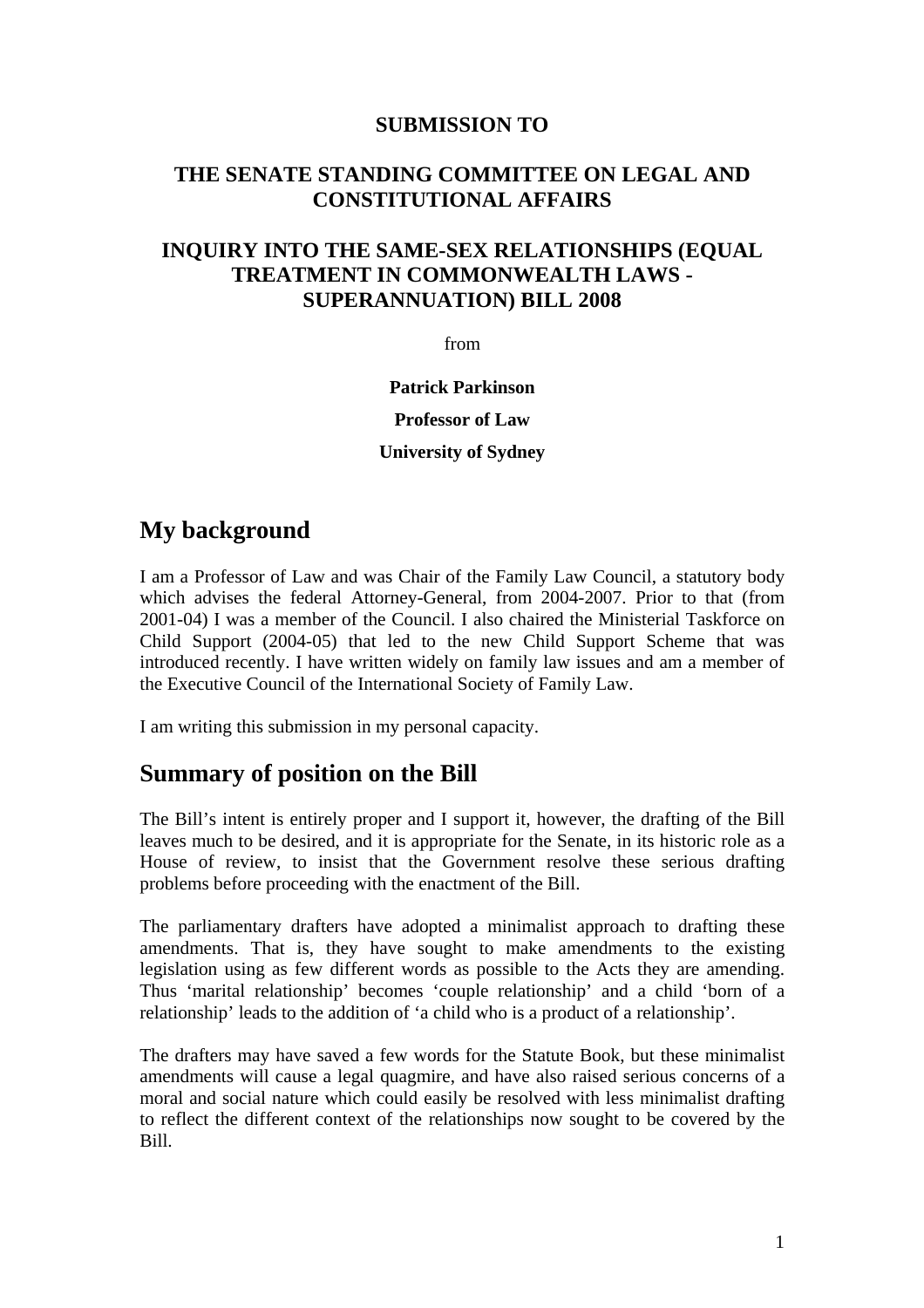## **SUBMISSION TO**

## **THE SENATE STANDING COMMITTEE ON LEGAL AND CONSTITUTIONAL AFFAIRS**

## **INQUIRY INTO THE SAME-SEX RELATIONSHIPS (EQUAL TREATMENT IN COMMONWEALTH LAWS - SUPERANNUATION) BILL 2008**

from

**Patrick Parkinson Professor of Law University of Sydney** 

## **My background**

I am a Professor of Law and was Chair of the Family Law Council, a statutory body which advises the federal Attorney-General, from 2004-2007. Prior to that (from 2001-04) I was a member of the Council. I also chaired the Ministerial Taskforce on Child Support (2004-05) that led to the new Child Support Scheme that was introduced recently. I have written widely on family law issues and am a member of the Executive Council of the International Society of Family Law.

I am writing this submission in my personal capacity.

# **Summary of position on the Bill**

The Bill's intent is entirely proper and I support it, however, the drafting of the Bill leaves much to be desired, and it is appropriate for the Senate, in its historic role as a House of review, to insist that the Government resolve these serious drafting problems before proceeding with the enactment of the Bill.

The parliamentary drafters have adopted a minimalist approach to drafting these amendments. That is, they have sought to make amendments to the existing legislation using as few different words as possible to the Acts they are amending. Thus 'marital relationship' becomes 'couple relationship' and a child 'born of a relationship' leads to the addition of 'a child who is a product of a relationship'.

The drafters may have saved a few words for the Statute Book, but these minimalist amendments will cause a legal quagmire, and have also raised serious concerns of a moral and social nature which could easily be resolved with less minimalist drafting to reflect the different context of the relationships now sought to be covered by the Bill.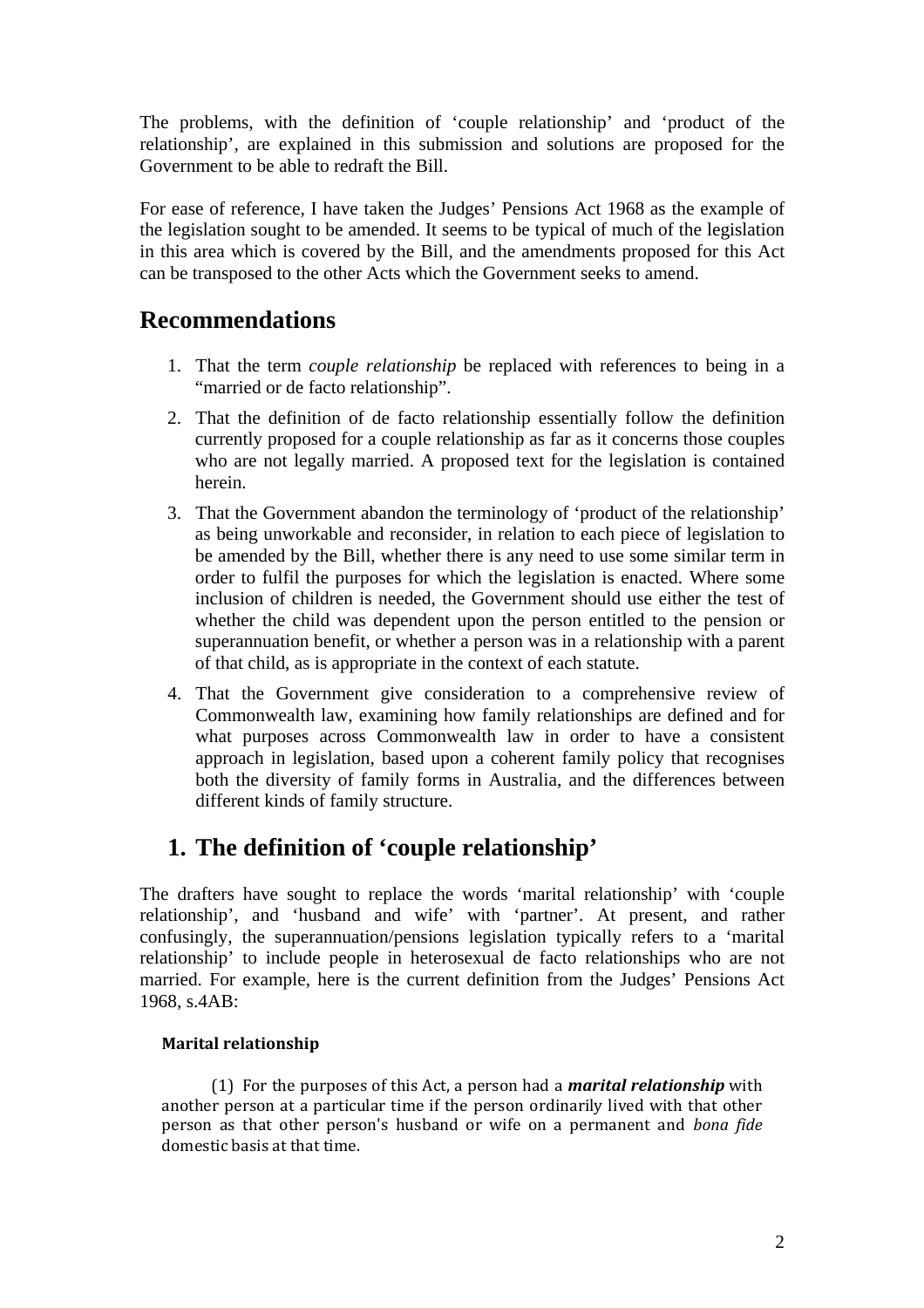The problems, with the definition of 'couple relationship' and 'product of the relationship', are explained in this submission and solutions are proposed for the Government to be able to redraft the Bill.

For ease of reference, I have taken the Judges' Pensions Act 1968 as the example of the legislation sought to be amended. It seems to be typical of much of the legislation in this area which is covered by the Bill, and the amendments proposed for this Act can be transposed to the other Acts which the Government seeks to amend.

# **Recommendations**

- 1. That the term *couple relationship* be replaced with references to being in a "married or de facto relationship".
- 2. That the definition of de facto relationship essentially follow the definition currently proposed for a couple relationship as far as it concerns those couples who are not legally married. A proposed text for the legislation is contained herein.
- 3. That the Government abandon the terminology of 'product of the relationship' as being unworkable and reconsider, in relation to each piece of legislation to be amended by the Bill, whether there is any need to use some similar term in order to fulfil the purposes for which the legislation is enacted. Where some inclusion of children is needed, the Government should use either the test of whether the child was dependent upon the person entitled to the pension or superannuation benefit, or whether a person was in a relationship with a parent of that child, as is appropriate in the context of each statute.
- 4. That the Government give consideration to a comprehensive review of Commonwealth law, examining how family relationships are defined and for what purposes across Commonwealth law in order to have a consistent approach in legislation, based upon a coherent family policy that recognises both the diversity of family forms in Australia, and the differences between different kinds of family structure.

# **1. The definition of 'couple relationship'**

The drafters have sought to replace the words 'marital relationship' with 'couple relationship', and 'husband and wife' with 'partner'. At present, and rather confusingly, the superannuation/pensions legislation typically refers to a 'marital relationship' to include people in heterosexual de facto relationships who are not married. For example, here is the current definition from the Judges' Pensions Act 1968, s.4AB:

## **Marital relationship**

 (1) For the purposes of this Act, a person had a *marital relationship* with another person at a particular time if the person ordinarily lived with that other person as that other person's husband or wife on a permanent and *bona fide*  domestic basis at that time.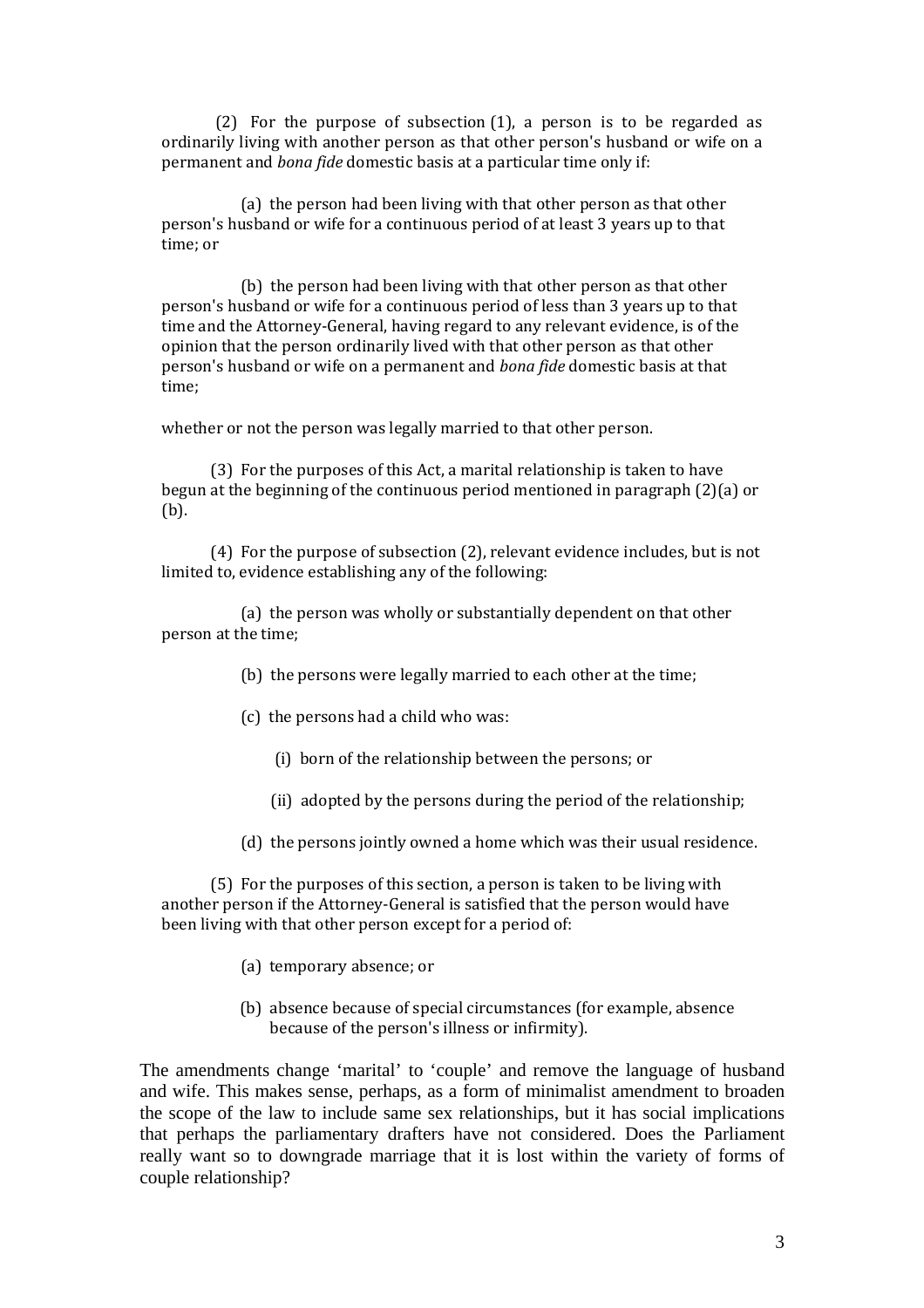(2) For the purpose of subsection (1), a person is to be regarded as ordinarily living with another person as that other person's husband or wife on a permanent and *bona fide* domestic basis at a particular time only if:

 (a) the person had been living with that other person as that other person's husband or wife for a continuous period of at least 3 years up to that time; or

 (b) the person had been living with that other person as that other person's husband or wife for a continuous period of less than 3 years up to that time and the Attorney-General, having regard to any relevant evidence, is of the opinion that the person ordinarily lived with that other person as that other person's husband or wife on a permanent and *bona fide* domestic basis at that time;

whether or not the person was legally married to that other person.

 (3) For the purposes of this Act, a marital relationship is taken to have begun at the beginning of the continuous period mentioned in paragraph (2)(a) or (b).

 (4) For the purpose of subsection (2), relevant evidence includes, but is not limited to, evidence establishing any of the following:

 (a) the person was wholly or substantially dependent on that other person at the time;

(b) the persons were legally married to each other at the time;

- (c) the persons had a child who was:
	- (i) born of the relationship between the persons; or
	- (ii) adopted by the persons during the period of the relationship;
- (d) the persons jointly owned a home which was their usual residence.

 (5) For the purposes of this section, a person is taken to be living with another person if the Attorney-General is satisfied that the person would have been living with that other person except for a period of:

- (a) temporary absence; or
- (b) absence because of special circumstances (for example, absence because of the person's illness or infirmity).

The amendments change 'marital' to 'couple' and remove the language of husband and wife. This makes sense, perhaps, as a form of minimalist amendment to broaden the scope of the law to include same sex relationships, but it has social implications that perhaps the parliamentary drafters have not considered. Does the Parliament really want so to downgrade marriage that it is lost within the variety of forms of couple relationship?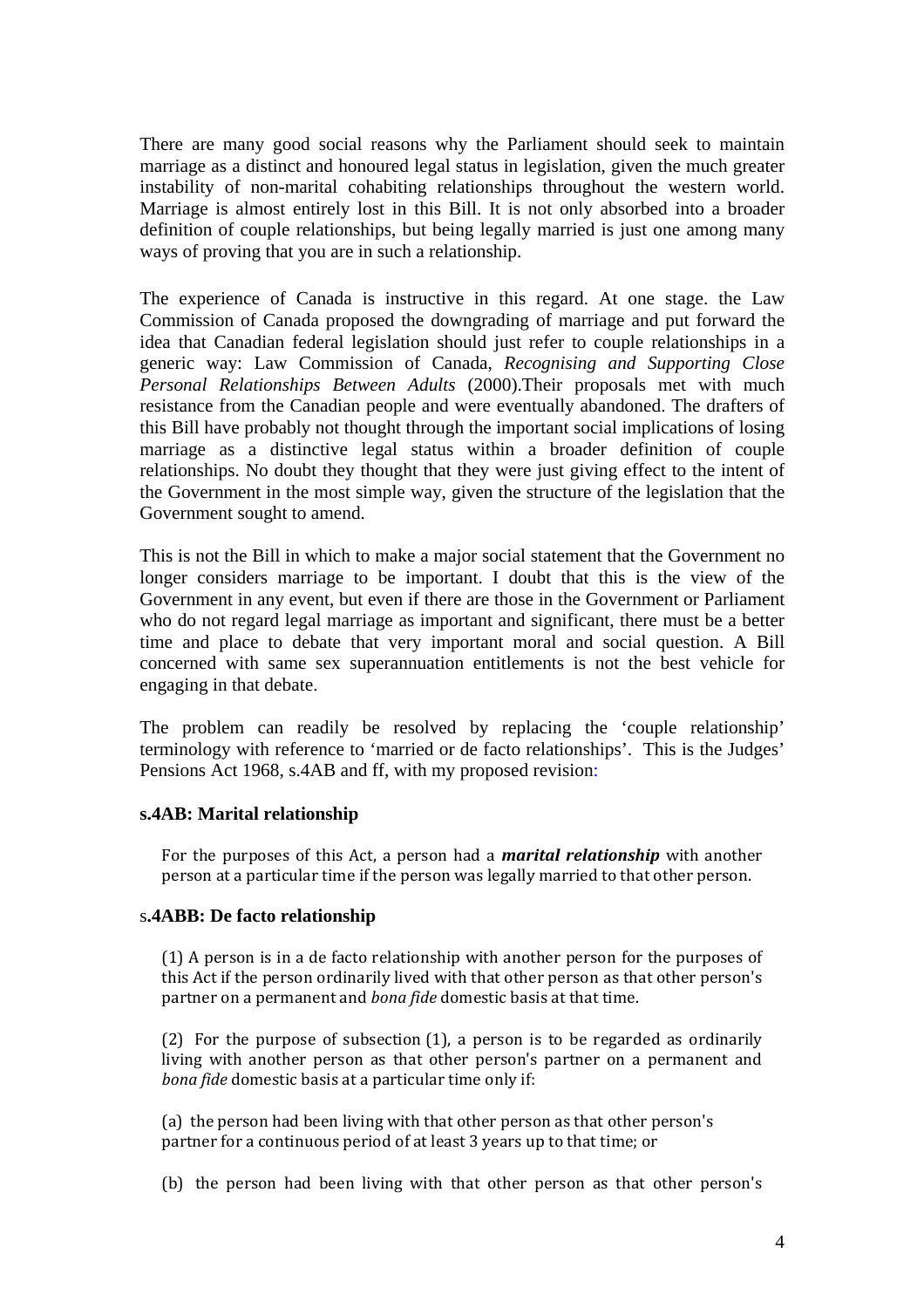There are many good social reasons why the Parliament should seek to maintain marriage as a distinct and honoured legal status in legislation, given the much greater instability of non-marital cohabiting relationships throughout the western world. Marriage is almost entirely lost in this Bill. It is not only absorbed into a broader definition of couple relationships, but being legally married is just one among many ways of proving that you are in such a relationship.

The experience of Canada is instructive in this regard. At one stage. the Law Commission of Canada proposed the downgrading of marriage and put forward the idea that Canadian federal legislation should just refer to couple relationships in a generic way: Law Commission of Canada, *Recognising and Supporting Close Personal Relationships Between Adults* (2000).Their proposals met with much resistance from the Canadian people and were eventually abandoned. The drafters of this Bill have probably not thought through the important social implications of losing marriage as a distinctive legal status within a broader definition of couple relationships. No doubt they thought that they were just giving effect to the intent of the Government in the most simple way, given the structure of the legislation that the Government sought to amend.

This is not the Bill in which to make a major social statement that the Government no longer considers marriage to be important. I doubt that this is the view of the Government in any event, but even if there are those in the Government or Parliament who do not regard legal marriage as important and significant, there must be a better time and place to debate that very important moral and social question. A Bill concerned with same sex superannuation entitlements is not the best vehicle for engaging in that debate.

The problem can readily be resolved by replacing the 'couple relationship' terminology with reference to 'married or de facto relationships'. This is the Judges' Pensions Act 1968, s.4AB and ff, with my proposed revision:

#### **s.4AB: Marital relationship**

For the purposes of this Act, a person had a *marital relationship* with another person at a particular time if the person was legally married to that other person.

#### s**.4ABB: De facto relationship**

(1) A person is in a de facto relationship with another person for the purposes of this Act if the person ordinarily lived with that other person as that other person's partner on a permanent and *bona fide* domestic basis at that time.

(2) For the purpose of subsection (1), a person is to be regarded as ordinarily living with another person as that other person's partner on a permanent and *bona fide* domestic basis at a particular time only if:

(a) the person had been living with that other person as that other person's partner for a continuous period of at least 3 years up to that time; or

(b) the person had been living with that other person as that other person's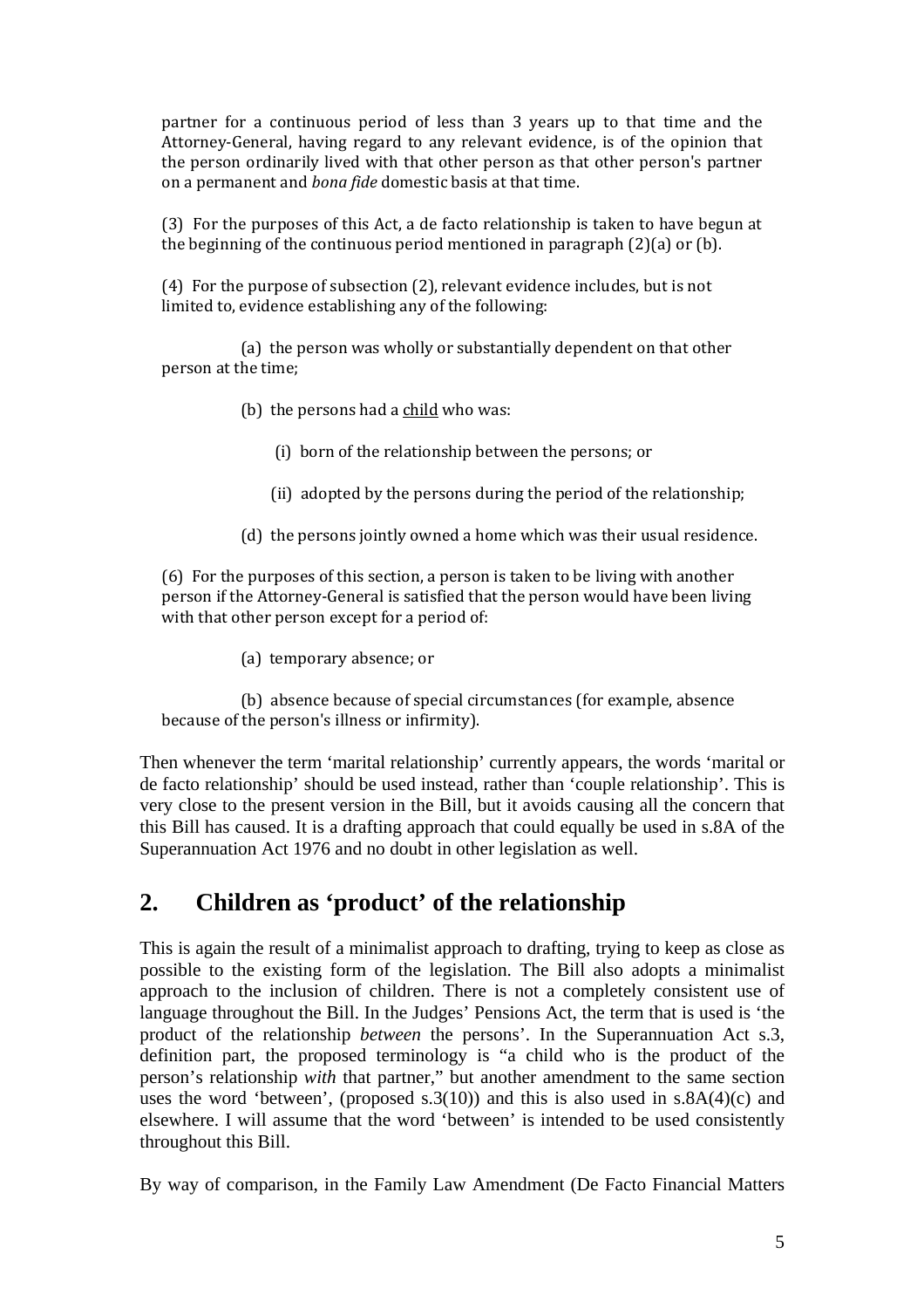partner for a continuous period of less than 3 years up to that time and the Attorney-General, having regard to any relevant evidence, is of the opinion that the person ordinarily lived with that other person as that other person's partner on a permanent and *bona fide* domestic basis at that time.

(3) For the purposes of this Act, a de facto relationship is taken to have begun at the beginning of the continuous period mentioned in paragraph (2)(a) or (b).

(4) For the purpose of subsection (2), relevant evidence includes, but is not limited to, evidence establishing any of the following:

 (a) the person was wholly or substantially dependent on that other person at the time;

- (b) the persons had a  $child$  who was:
	- (i) born of the relationship between the persons; or
	- (ii) adopted by the persons during the period of the relationship;
- (d) the persons jointly owned a home which was their usual residence.

(6) For the purposes of this section, a person is taken to be living with another person if the Attorney-General is satisfied that the person would have been living with that other person except for a period of:

(a) temporary absence; or

 (b) absence because of special circumstances (for example, absence because of the person's illness or infirmity).

Then whenever the term 'marital relationship' currently appears, the words 'marital or de facto relationship' should be used instead, rather than 'couple relationship'. This is very close to the present version in the Bill, but it avoids causing all the concern that this Bill has caused. It is a drafting approach that could equally be used in s.8A of the Superannuation Act 1976 and no doubt in other legislation as well.

# **2. Children as 'product' of the relationship**

This is again the result of a minimalist approach to drafting, trying to keep as close as possible to the existing form of the legislation. The Bill also adopts a minimalist approach to the inclusion of children. There is not a completely consistent use of language throughout the Bill. In the Judges' Pensions Act, the term that is used is 'the product of the relationship *between* the persons'. In the Superannuation Act s.3, definition part, the proposed terminology is "a child who is the product of the person's relationship *with* that partner," but another amendment to the same section uses the word 'between', (proposed s.  $3(10)$ ) and this is also used in s.  $8A(4)(c)$  and elsewhere. I will assume that the word 'between' is intended to be used consistently throughout this Bill.

By way of comparison, in the Family Law Amendment (De Facto Financial Matters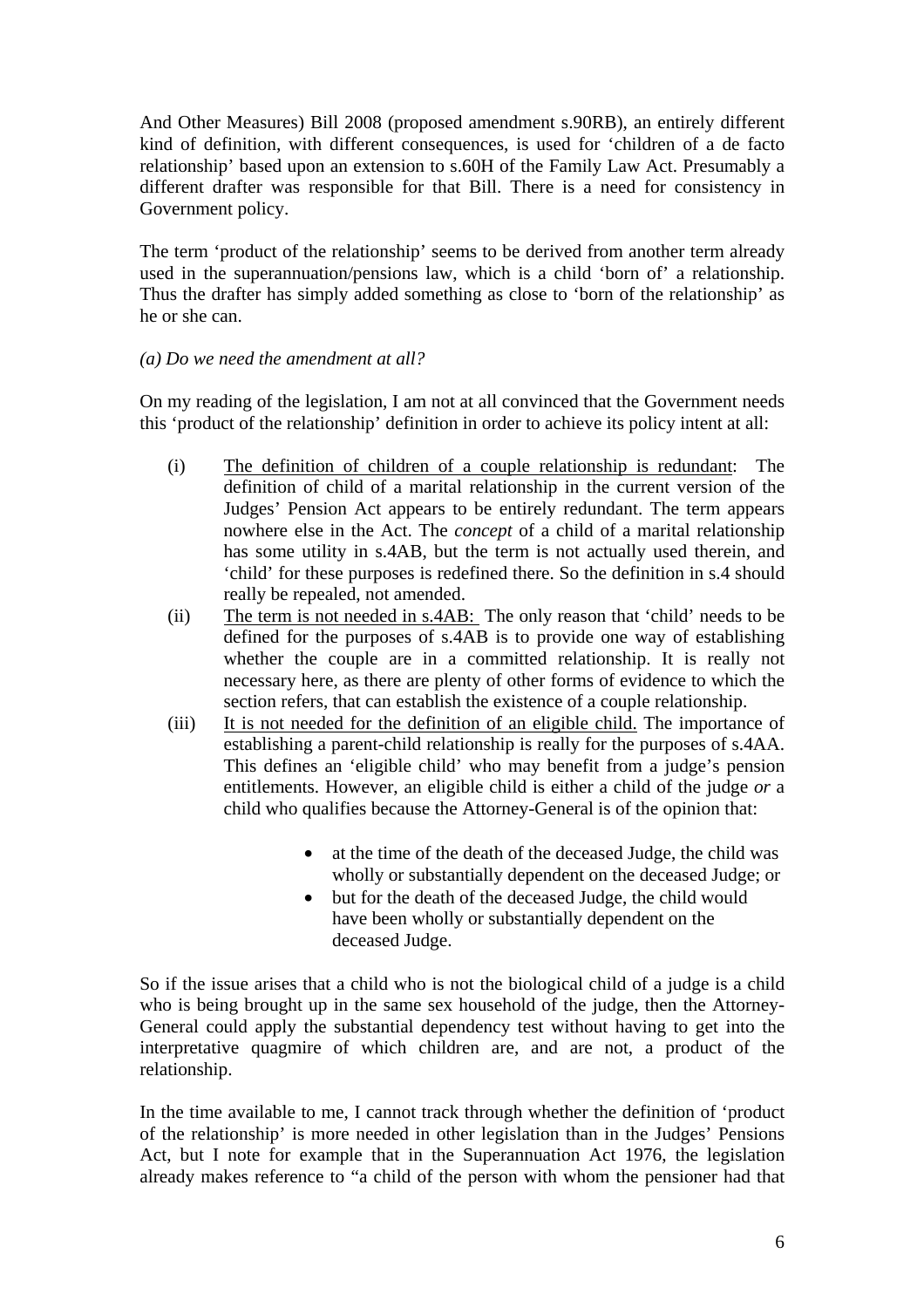And Other Measures) Bill 2008 (proposed amendment s.90RB), an entirely different kind of definition, with different consequences, is used for 'children of a de facto relationship' based upon an extension to s.60H of the Family Law Act. Presumably a different drafter was responsible for that Bill. There is a need for consistency in Government policy.

The term 'product of the relationship' seems to be derived from another term already used in the superannuation/pensions law, which is a child 'born of' a relationship. Thus the drafter has simply added something as close to 'born of the relationship' as he or she can.

## *(a) Do we need the amendment at all?*

On my reading of the legislation, I am not at all convinced that the Government needs this 'product of the relationship' definition in order to achieve its policy intent at all:

- (i) The definition of children of a couple relationship is redundant: The definition of child of a marital relationship in the current version of the Judges' Pension Act appears to be entirely redundant. The term appears nowhere else in the Act. The *concept* of a child of a marital relationship has some utility in s.4AB, but the term is not actually used therein, and 'child' for these purposes is redefined there. So the definition in s.4 should really be repealed, not amended.
- (ii) The term is not needed in s.4AB: The only reason that 'child' needs to be defined for the purposes of s.4AB is to provide one way of establishing whether the couple are in a committed relationship. It is really not necessary here, as there are plenty of other forms of evidence to which the section refers, that can establish the existence of a couple relationship.
- (iii) It is not needed for the definition of an eligible child. The importance of establishing a parent-child relationship is really for the purposes of s.4AA. This defines an 'eligible child' who may benefit from a judge's pension entitlements. However, an eligible child is either a child of the judge *or* a child who qualifies because the Attorney-General is of the opinion that:
	- at the time of the death of the deceased Judge, the child was wholly or substantially dependent on the deceased Judge; or
	- but for the death of the deceased Judge, the child would have been wholly or substantially dependent on the deceased Judge.

So if the issue arises that a child who is not the biological child of a judge is a child who is being brought up in the same sex household of the judge, then the Attorney-General could apply the substantial dependency test without having to get into the interpretative quagmire of which children are, and are not, a product of the relationship.

In the time available to me, I cannot track through whether the definition of 'product of the relationship' is more needed in other legislation than in the Judges' Pensions Act, but I note for example that in the Superannuation Act 1976, the legislation already makes reference to "a child of the person with whom the pensioner had that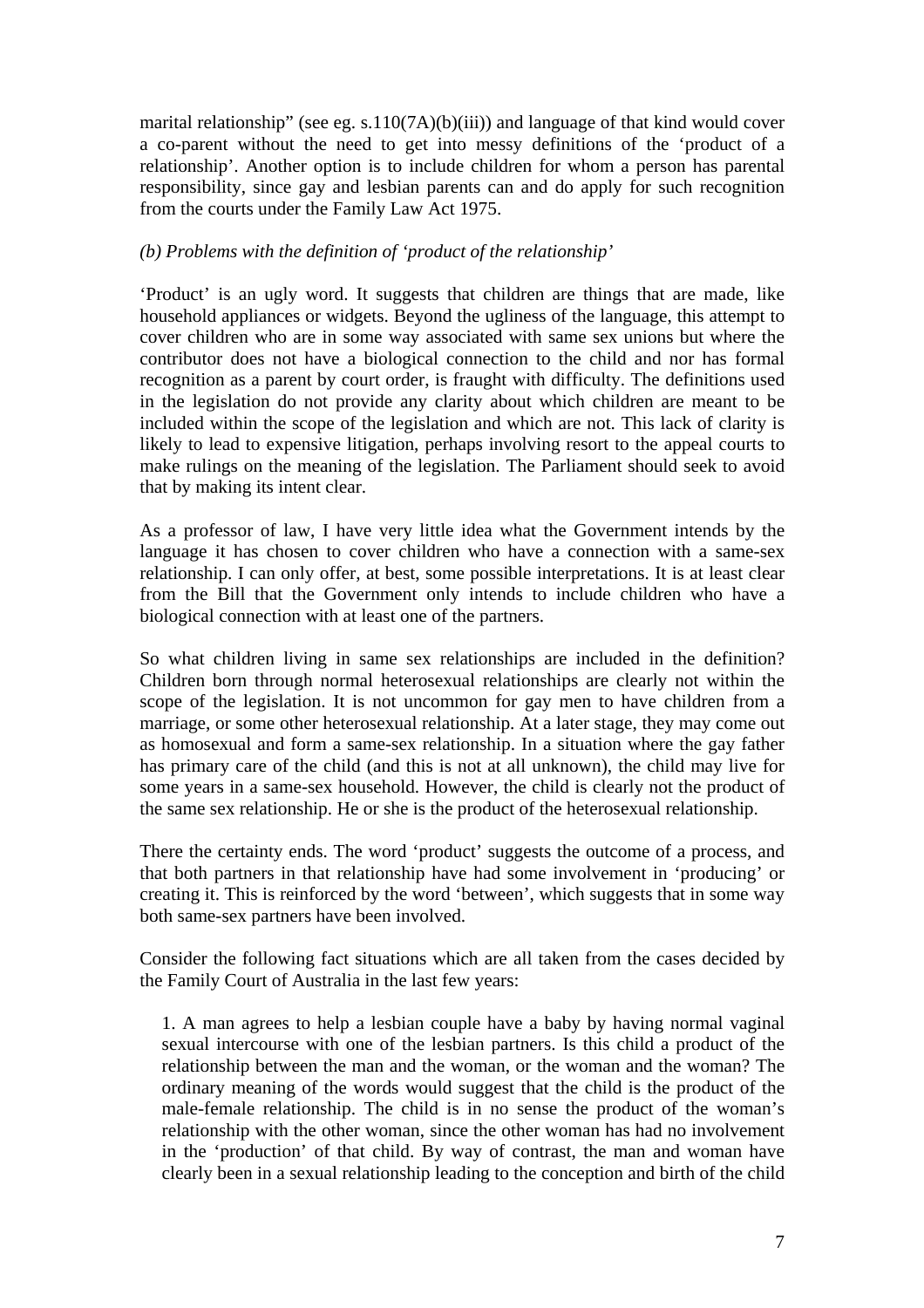marital relationship" (see eg. s.110(7A)(b)(iii)) and language of that kind would cover a co-parent without the need to get into messy definitions of the 'product of a relationship'. Another option is to include children for whom a person has parental responsibility, since gay and lesbian parents can and do apply for such recognition from the courts under the Family Law Act 1975.

### *(b) Problems with the definition of 'product of the relationship'*

'Product' is an ugly word. It suggests that children are things that are made, like household appliances or widgets. Beyond the ugliness of the language, this attempt to cover children who are in some way associated with same sex unions but where the contributor does not have a biological connection to the child and nor has formal recognition as a parent by court order, is fraught with difficulty. The definitions used in the legislation do not provide any clarity about which children are meant to be included within the scope of the legislation and which are not. This lack of clarity is likely to lead to expensive litigation, perhaps involving resort to the appeal courts to make rulings on the meaning of the legislation. The Parliament should seek to avoid that by making its intent clear.

As a professor of law, I have very little idea what the Government intends by the language it has chosen to cover children who have a connection with a same-sex relationship. I can only offer, at best, some possible interpretations. It is at least clear from the Bill that the Government only intends to include children who have a biological connection with at least one of the partners.

So what children living in same sex relationships are included in the definition? Children born through normal heterosexual relationships are clearly not within the scope of the legislation. It is not uncommon for gay men to have children from a marriage, or some other heterosexual relationship. At a later stage, they may come out as homosexual and form a same-sex relationship. In a situation where the gay father has primary care of the child (and this is not at all unknown), the child may live for some years in a same-sex household. However, the child is clearly not the product of the same sex relationship. He or she is the product of the heterosexual relationship.

There the certainty ends. The word 'product' suggests the outcome of a process, and that both partners in that relationship have had some involvement in 'producing' or creating it. This is reinforced by the word 'between', which suggests that in some way both same-sex partners have been involved.

Consider the following fact situations which are all taken from the cases decided by the Family Court of Australia in the last few years:

1. A man agrees to help a lesbian couple have a baby by having normal vaginal sexual intercourse with one of the lesbian partners. Is this child a product of the relationship between the man and the woman, or the woman and the woman? The ordinary meaning of the words would suggest that the child is the product of the male-female relationship. The child is in no sense the product of the woman's relationship with the other woman, since the other woman has had no involvement in the 'production' of that child. By way of contrast, the man and woman have clearly been in a sexual relationship leading to the conception and birth of the child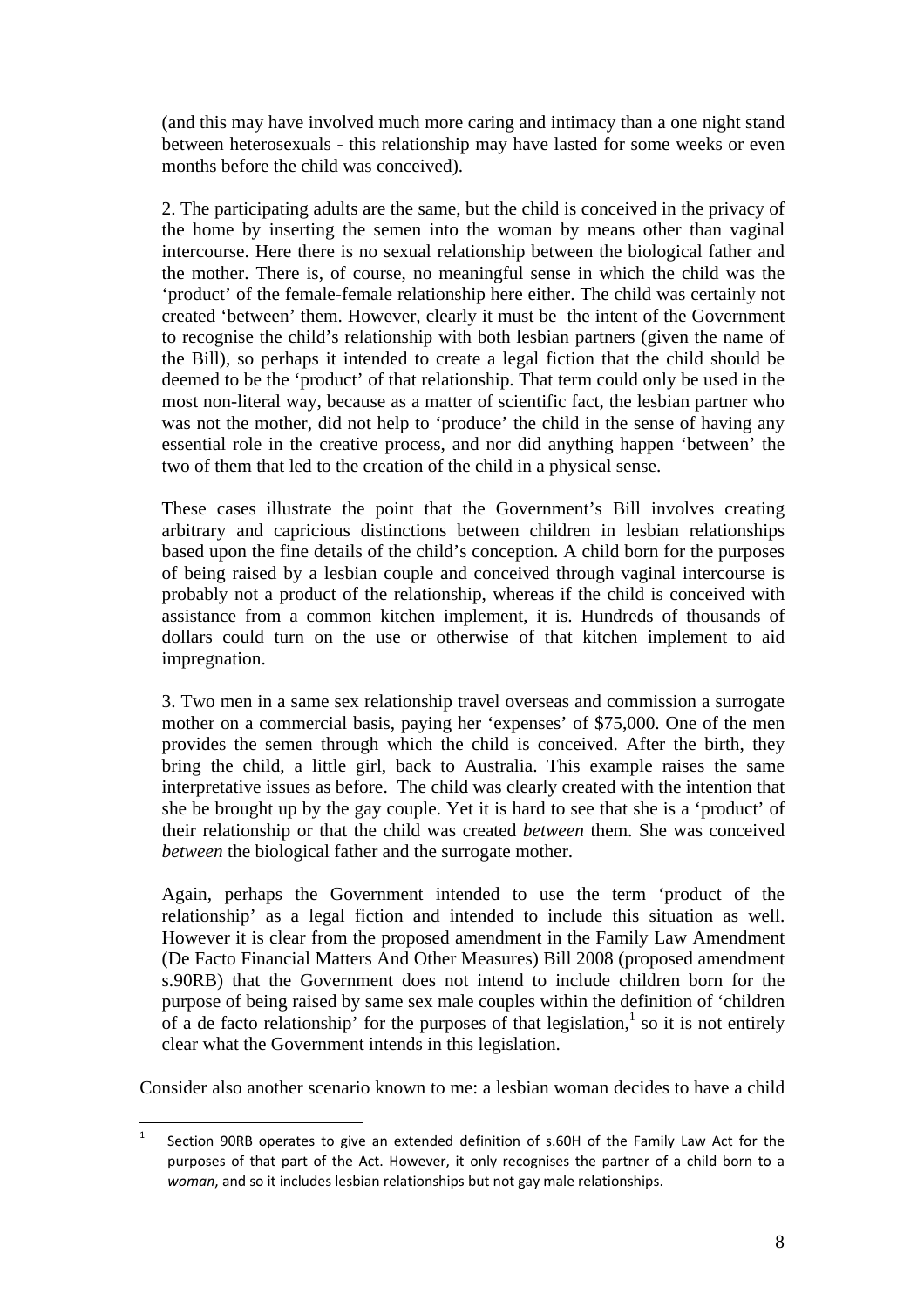(and this may have involved much more caring and intimacy than a one night stand between heterosexuals - this relationship may have lasted for some weeks or even months before the child was conceived).

2. The participating adults are the same, but the child is conceived in the privacy of the home by inserting the semen into the woman by means other than vaginal intercourse. Here there is no sexual relationship between the biological father and the mother. There is, of course, no meaningful sense in which the child was the 'product' of the female-female relationship here either. The child was certainly not created 'between' them. However, clearly it must be the intent of the Government to recognise the child's relationship with both lesbian partners (given the name of the Bill), so perhaps it intended to create a legal fiction that the child should be deemed to be the 'product' of that relationship. That term could only be used in the most non-literal way, because as a matter of scientific fact, the lesbian partner who was not the mother, did not help to 'produce' the child in the sense of having any essential role in the creative process, and nor did anything happen 'between' the two of them that led to the creation of the child in a physical sense.

These cases illustrate the point that the Government's Bill involves creating arbitrary and capricious distinctions between children in lesbian relationships based upon the fine details of the child's conception. A child born for the purposes of being raised by a lesbian couple and conceived through vaginal intercourse is probably not a product of the relationship, whereas if the child is conceived with assistance from a common kitchen implement, it is. Hundreds of thousands of dollars could turn on the use or otherwise of that kitchen implement to aid impregnation.

3. Two men in a same sex relationship travel overseas and commission a surrogate mother on a commercial basis, paying her 'expenses' of \$75,000. One of the men provides the semen through which the child is conceived. After the birth, they bring the child, a little girl, back to Australia. This example raises the same interpretative issues as before. The child was clearly created with the intention that she be brought up by the gay couple. Yet it is hard to see that she is a 'product' of their relationship or that the child was created *between* them. She was conceived *between* the biological father and the surrogate mother.

Again, perhaps the Government intended to use the term 'product of the relationship' as a legal fiction and intended to include this situation as well. However it is clear from the proposed amendment in the Family Law Amendment (De Facto Financial Matters And Other Measures) Bill 2008 (proposed amendment s.90RB) that the Government does not intend to include children born for the purpose of being raised by same sex male couples within the definition of 'children of a de facto relationship' for the purposes of that legislation,<sup>1</sup> so it is not entirely clear what the Government intends in this legislation.

Consider also another scenario known to me: a lesbian woman decides to have a child

 $\frac{1}{1}$  Section 90RB operates to give an extended definition of s.60H of the Family Law Act for the purposes of that part of the Act. However, it only recognises the partner of a child born to a *woman*, and so it includes lesbian relationships but not gay male relationships.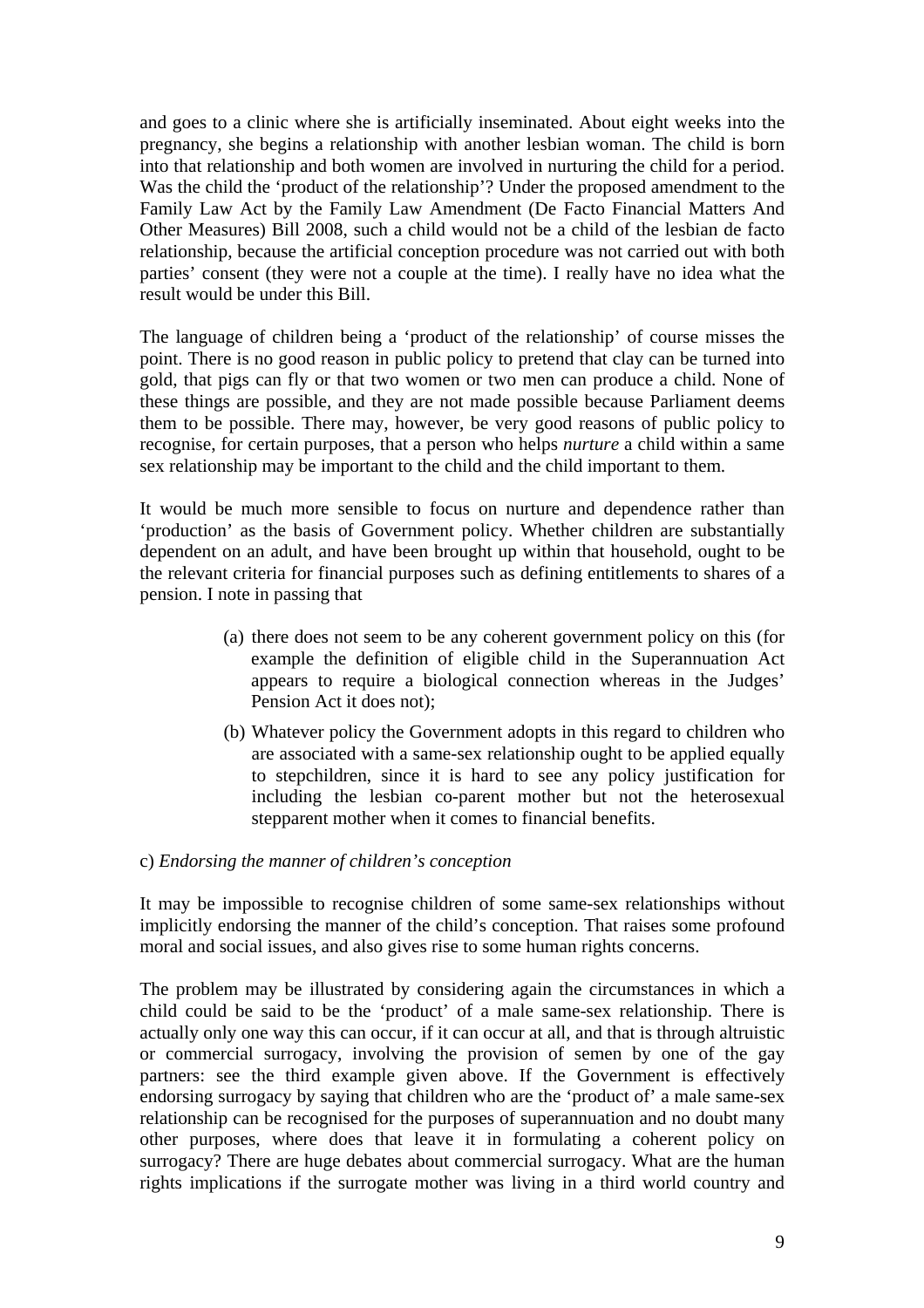and goes to a clinic where she is artificially inseminated. About eight weeks into the pregnancy, she begins a relationship with another lesbian woman. The child is born into that relationship and both women are involved in nurturing the child for a period. Was the child the 'product of the relationship'? Under the proposed amendment to the Family Law Act by the Family Law Amendment (De Facto Financial Matters And Other Measures) Bill 2008, such a child would not be a child of the lesbian de facto relationship, because the artificial conception procedure was not carried out with both parties' consent (they were not a couple at the time). I really have no idea what the result would be under this Bill.

The language of children being a 'product of the relationship' of course misses the point. There is no good reason in public policy to pretend that clay can be turned into gold, that pigs can fly or that two women or two men can produce a child. None of these things are possible, and they are not made possible because Parliament deems them to be possible. There may, however, be very good reasons of public policy to recognise, for certain purposes, that a person who helps *nurture* a child within a same sex relationship may be important to the child and the child important to them.

It would be much more sensible to focus on nurture and dependence rather than 'production' as the basis of Government policy. Whether children are substantially dependent on an adult, and have been brought up within that household, ought to be the relevant criteria for financial purposes such as defining entitlements to shares of a pension. I note in passing that

- (a) there does not seem to be any coherent government policy on this (for example the definition of eligible child in the Superannuation Act appears to require a biological connection whereas in the Judges' Pension Act it does not);
- (b) Whatever policy the Government adopts in this regard to children who are associated with a same-sex relationship ought to be applied equally to stepchildren, since it is hard to see any policy justification for including the lesbian co-parent mother but not the heterosexual stepparent mother when it comes to financial benefits.

#### c) *Endorsing the manner of children's conception*

It may be impossible to recognise children of some same-sex relationships without implicitly endorsing the manner of the child's conception. That raises some profound moral and social issues, and also gives rise to some human rights concerns.

The problem may be illustrated by considering again the circumstances in which a child could be said to be the 'product' of a male same-sex relationship. There is actually only one way this can occur, if it can occur at all, and that is through altruistic or commercial surrogacy, involving the provision of semen by one of the gay partners: see the third example given above. If the Government is effectively endorsing surrogacy by saying that children who are the 'product of' a male same-sex relationship can be recognised for the purposes of superannuation and no doubt many other purposes, where does that leave it in formulating a coherent policy on surrogacy? There are huge debates about commercial surrogacy. What are the human rights implications if the surrogate mother was living in a third world country and